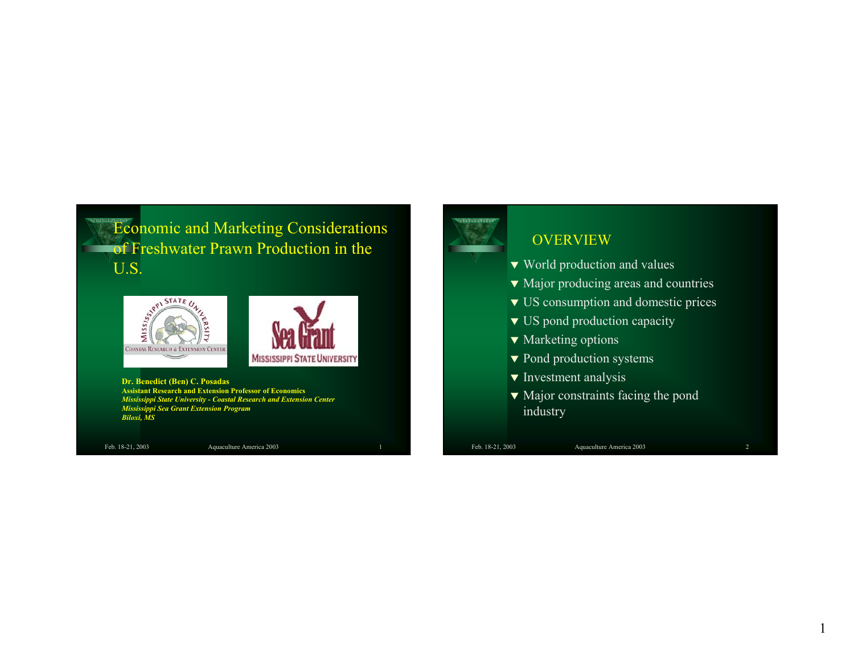**Economic and Marketing Considerations** of Freshwater Prawn Production in the U.S.



**Dr. Benedict (Ben) C. Posadas Assistant Research and Extension Professor of Economics** *Mississippi State University - Coastal Research and Extension Center Mississippi Sea Grant Extension Program Biloxi, MS*

Feb. 18-21, 2003 Aquaculture America 2003



#### **OVERVIEW**

- $\blacktriangledown$  World production and values
- $\blacktriangledown$  Major producing areas and countries
- $\blacktriangledown$  US consumption and domestic prices
- $\blacktriangledown$  US pond production capacity
- $\blacktriangledown$  Marketing options
- $\blacktriangledown$  Pond production systems
- $\blacktriangledown$  Investment analysis
- $\blacktriangledown$  Major constraints facing the pond industry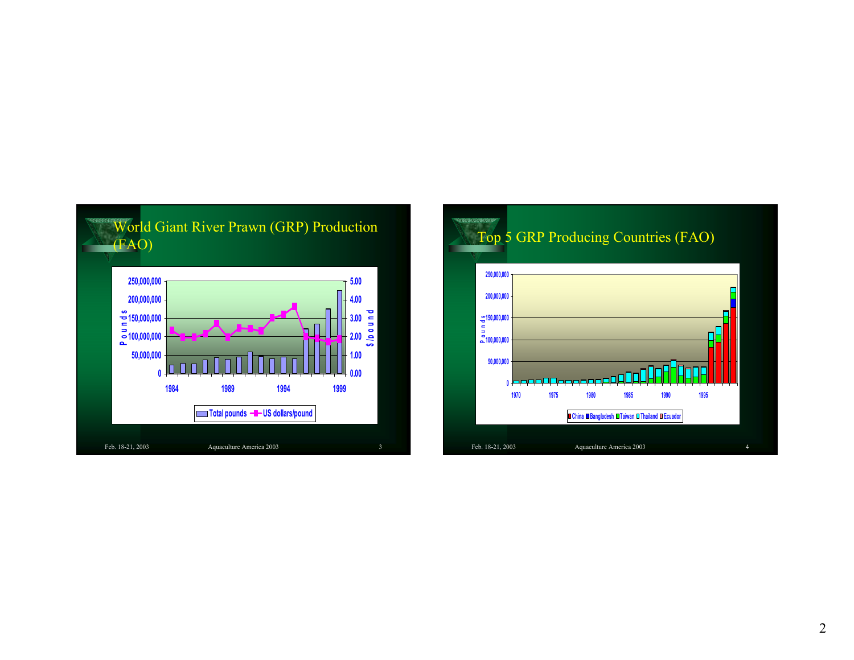

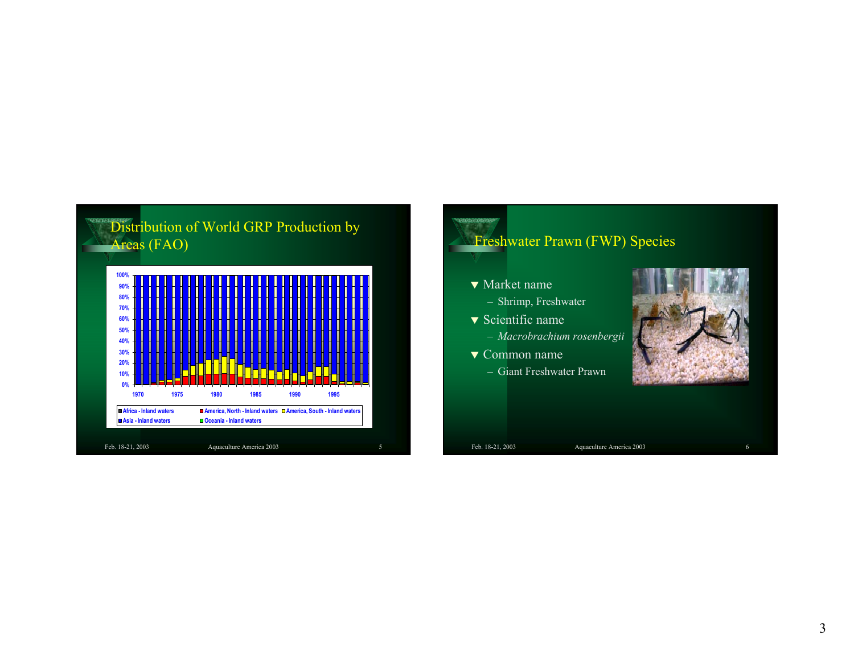



- $\blacktriangledown$  Market name
	- Shrimp, Freshwater
- $\blacktriangledown$  Scientific name
	- *Macrobrachium rosenbergii*
- $\blacktriangledown$  Common name
	- Giant Freshwater Prawn

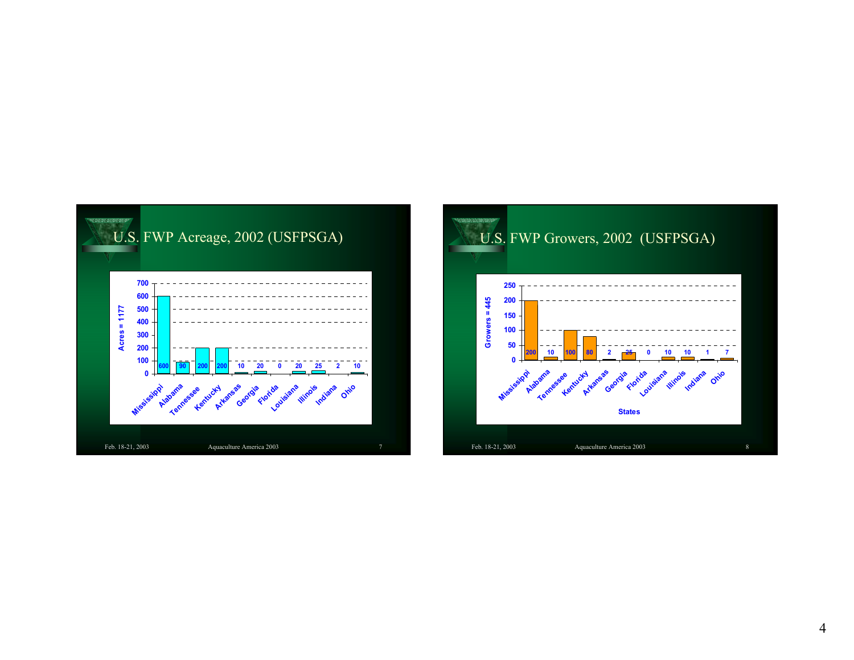

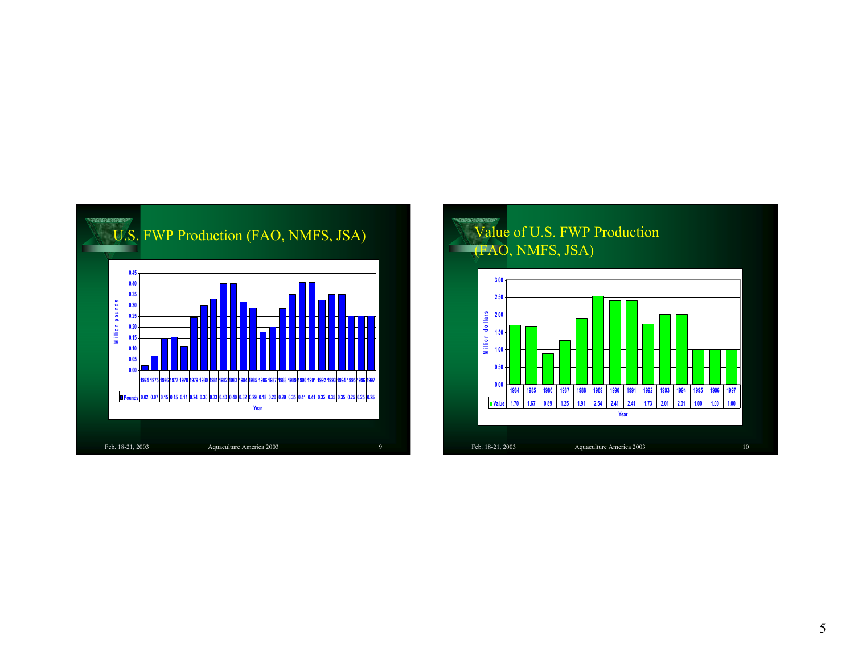

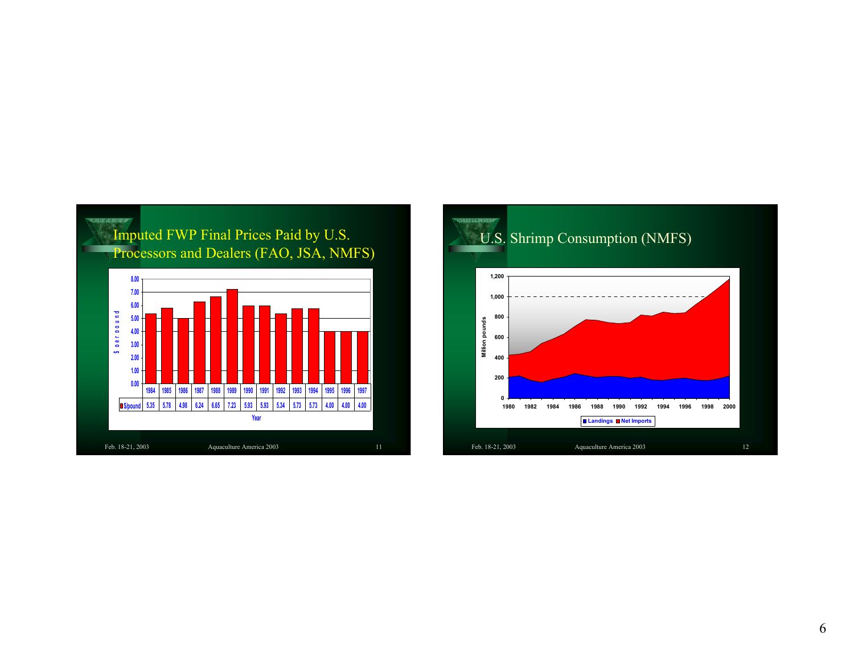

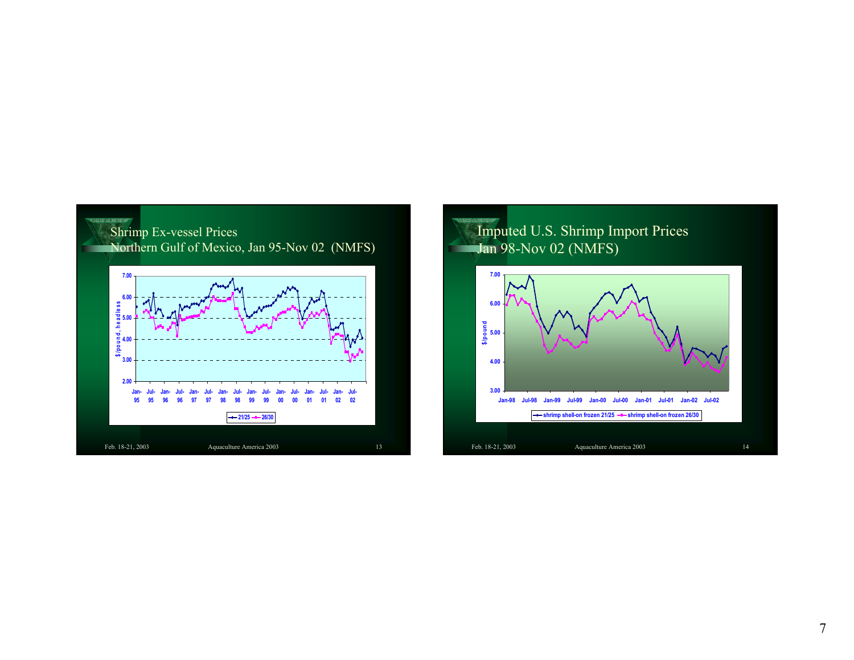

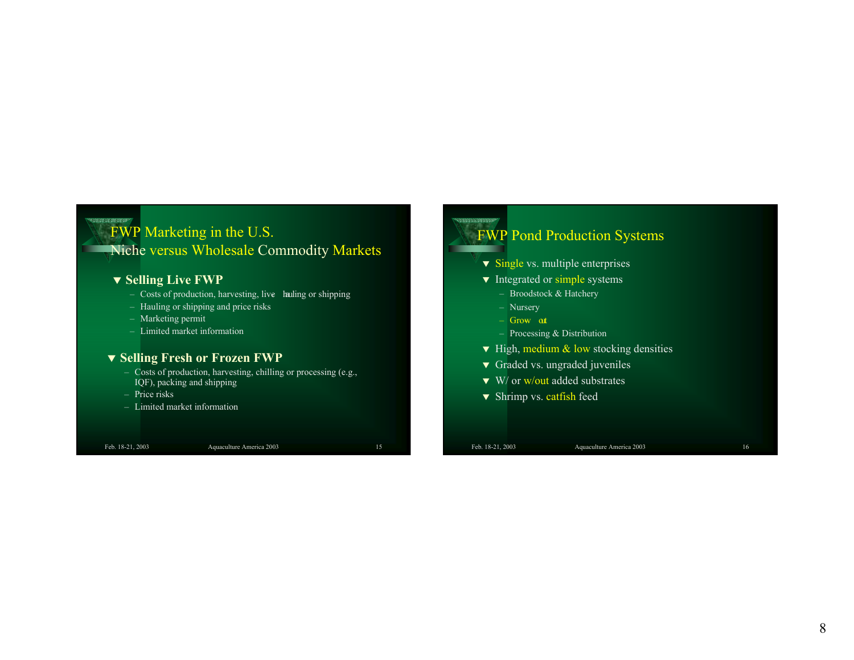### FWP Marketing in the U.S. Niche versus Wholesale Commodity Markets

#### W **Selling Live FWP**

- Costs of production, harvesting, live- hauling or shipping
- Hauling or shipping and price risks
- Marketing permit
- Limited market information

#### W **Selling Fresh or Frozen FWP**

- Costs of production, harvesting, chilling or processing (e.g., IQF), packing and shipping
- Price risks
- Limited market information

**BORDER BERRY** 

Feb. 18-21, 2003 Aquaculture America 2003 15

#### **TERRITORY** FWP Pond Production Systems

- $\blacktriangledown$  Single vs. multiple enterprises
- $\blacktriangledown$  Integrated or simple systems
	- Broodstock & Hatchery
	- Nursery
	- Grow- out
	- Processing & Distribution
- $\blacktriangledown$  High, medium & low stocking densities
- $\blacktriangledown$  Graded vs. ungraded juveniles
- $\blacktriangledown$  W/ or w/out added substrates
- ▼ Shrimp vs. catfish feed
-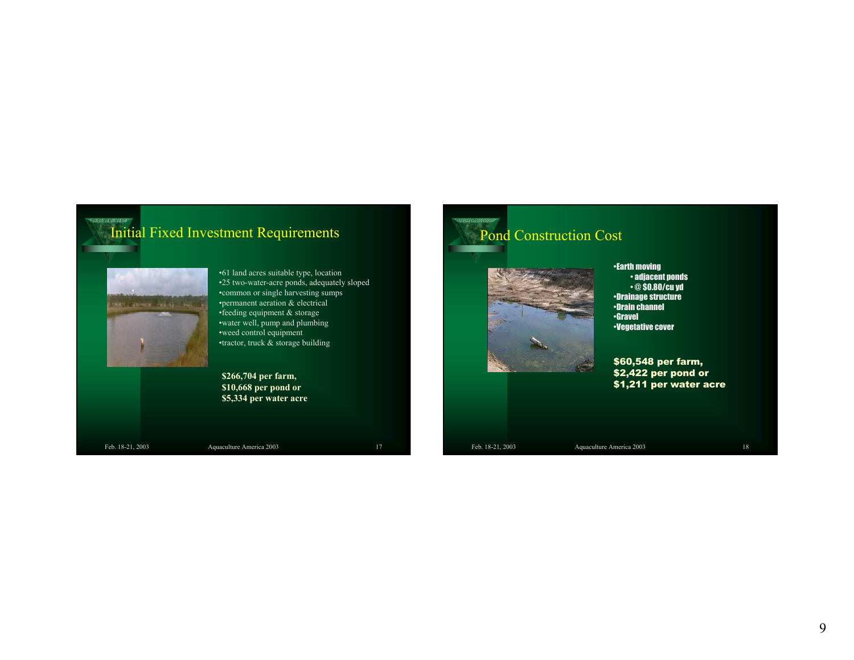# Initial Fixed Investment Requirements •61 land acres suitable type, location



**\$266,704 per farm, \$10,668 per pond or \$5,334 per water acre**

THE SHOWN TELM THE LE

**Rabbana** 

Feb. 18-21, 2003 Aquaculture America 2003 17

# Pond Construction Cost



•Earth moving • adjacent ponds • @ \$0.80/cu yd •Drainage structure •Drain channel •Gravel•Vegetative cover

\$60,548 per farm, \$2,422 per pond or \$1,211 per water acre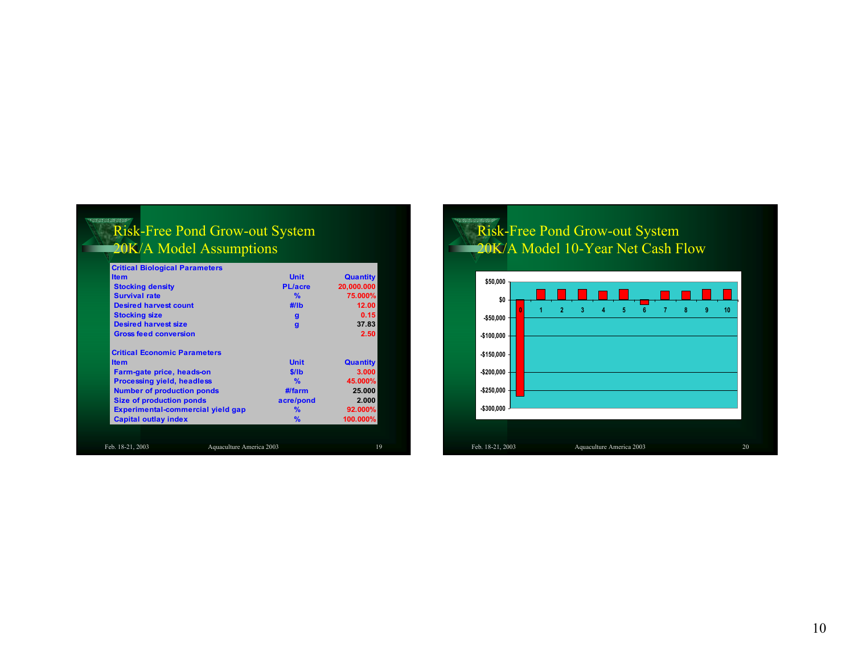### Risk-Free Pond Grow-out System 20K/A Model Assumptions

|                                     | <b>Critical Biological Parameters</b> |                |                 |
|-------------------------------------|---------------------------------------|----------------|-----------------|
| <b>Item</b>                         |                                       | <b>Unit</b>    | <b>Quantity</b> |
| <b>Stocking density</b>             |                                       | <b>PL/acre</b> | 20,000.000      |
| <b>Survival rate</b>                |                                       | %              | 75.000%         |
| <b>Desired harvest count</b>        |                                       | $\#$ /lb       | 12.00           |
| <b>Stocking size</b>                |                                       | $\mathbf{q}$   | 0.15            |
| <b>Desired harvest size</b>         |                                       | g              | 37.83           |
| <b>Gross feed conversion</b>        |                                       |                | 2.50            |
| <b>Critical Economic Parameters</b> |                                       |                |                 |
| <b>Item</b>                         |                                       | <b>Unit</b>    | <b>Quantity</b> |
| Farm-gate price, heads-on           |                                       | \$/lb          | 3.000           |
| <b>Processing yield, headless</b>   |                                       | $\frac{9}{6}$  | 45.000%         |
| <b>Number of production ponds</b>   |                                       | $#$ farm       | 25.000          |
| <b>Size of production ponds</b>     |                                       | acre/pond      | 2.000           |
|                                     | Experimental-commercial yield gap     | $\frac{9}{6}$  | 92.000%         |
| <b>Capital outlay index</b>         |                                       | %              | 100.000%        |

# Risk-Free Pond Grow-out System 20K/A Model 10-Year Net Cash Flow

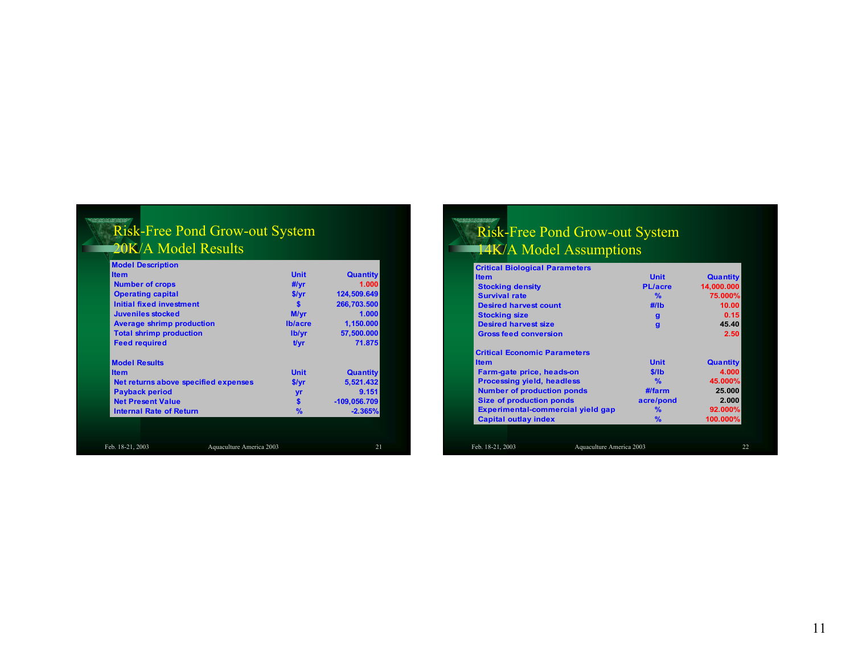#### Risk-Free Pond Grow-out System 20K/A Model Results

| <b>Model Description</b>             |                          |                 |
|--------------------------------------|--------------------------|-----------------|
| <b>Item</b>                          | <b>Unit</b>              | <b>Quantity</b> |
| <b>Number of crops</b>               | #/yr                     | 1.000           |
| <b>Operating capital</b>             | \$/yr                    | 124,509.649     |
| <b>Initial fixed investment</b>      | S                        | 266,703.500     |
| Juveniles stocked                    | M/yr                     | 1.000           |
| <b>Average shrimp production</b>     | <b>Ib/acre</b>           | 1,150.000       |
| <b>Total shrimp production</b>       | lb/yr                    | 57,500.000      |
| <b>Feed required</b>                 | t/vr                     | 71.875          |
| <b>Model Results</b>                 |                          |                 |
| <b>Item</b>                          | <b>Unit</b>              | <b>Quantity</b> |
| Net returns above specified expenses | \$/yr                    | 5,521.432       |
| <b>Payback period</b>                | yr                       | 9.151           |
| <b>Net Present Value</b>             | $\mathbf{s}$             | $-109.056.709$  |
| <b>Internal Rate of Return</b>       | $\frac{9}{6}$            | $-2.365%$       |
|                                      |                          |                 |
|                                      |                          |                 |
| Feb. 18-21, 2003                     | Aquaculture America 2003 | 21              |

### Risk-Free Pond Grow-out System 14K/A Model Assumptions

| <b>Critical Biological Parameters</b>        |                |                 |
|----------------------------------------------|----------------|-----------------|
| <b>Item</b>                                  | <b>Unit</b>    | <b>Quantity</b> |
| <b>Stocking density</b>                      | <b>PL/acre</b> | 14,000.000      |
| <b>Survival rate</b>                         | $\frac{9}{6}$  | 75.000%         |
| <b>Desired harvest count</b>                 | $\#$ /lb       | 10.00           |
| <b>Stocking size</b>                         | $\mathbf{q}$   | 0.15            |
| <b>Desired harvest size</b>                  | $\mathbf{q}$   | 45.40           |
| <b>Gross feed conversion</b>                 |                | 2.50            |
| <b>Critical Economic Parameters</b>          |                |                 |
| <b>Item</b>                                  | <b>Unit</b>    | <b>Quantity</b> |
| Farm-gate price, heads-on                    | \$/lb          | 4.000           |
| <b>Processing yield, headless</b>            | $\frac{9}{6}$  | 45.000%         |
| <b>Number of production ponds</b>            | $#$ farm       | 25,000          |
| <b>Size of production ponds</b>              | acre/pond      | 2.000           |
| Experimental-commercial yield gap            | %              | 92.000%         |
| <b>Capital outlay index</b>                  | $\%$           | 100.000%        |
|                                              |                |                 |
| Aquaculture America 2003<br>Feb. 18-21, 2003 |                |                 |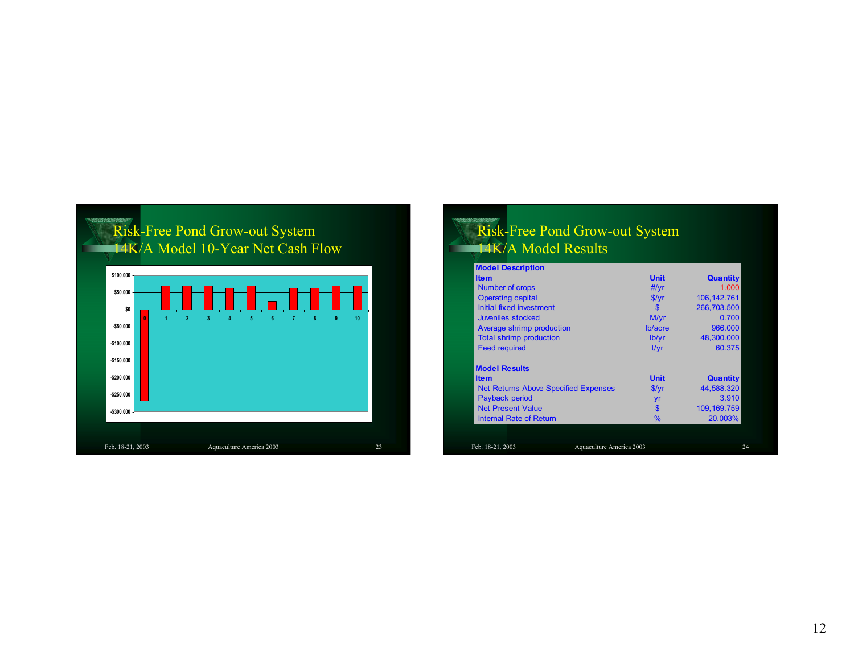

## Risk-Free Pond Grow-out System 14K/A Model Results

| <b>Model Description</b>                    |             |                                                         |
|---------------------------------------------|-------------|---------------------------------------------------------|
| <b>Item</b>                                 | <b>Unit</b> | <b>Quantity</b>                                         |
| Number of crops                             | #/yr        | 1.000                                                   |
| <b>Operating capital</b>                    | S/vr        | 106, 142. 761                                           |
| Initial fixed investment                    | \$s         | 266.703.500                                             |
| Juveniles stocked                           | M/yr        | 0.700                                                   |
| Average shrimp production                   | Ib/acre     | 966,000                                                 |
| <b>Total shrimp production</b>              | lb/yr       | 48,300.000                                              |
| <b>Feed required</b>                        | t/vr        | 60.375                                                  |
|                                             |             |                                                         |
| <b>Model Results</b>                        |             |                                                         |
| <b>Item</b>                                 | <b>Unit</b> |                                                         |
| <b>Net Returns Above Specified Expenses</b> | \$/yr       |                                                         |
| Payback period                              | yr          |                                                         |
| <b>Net Present Value</b>                    | \$          | <b>Quantity</b><br>44,588.320<br>3.910<br>109, 169. 759 |